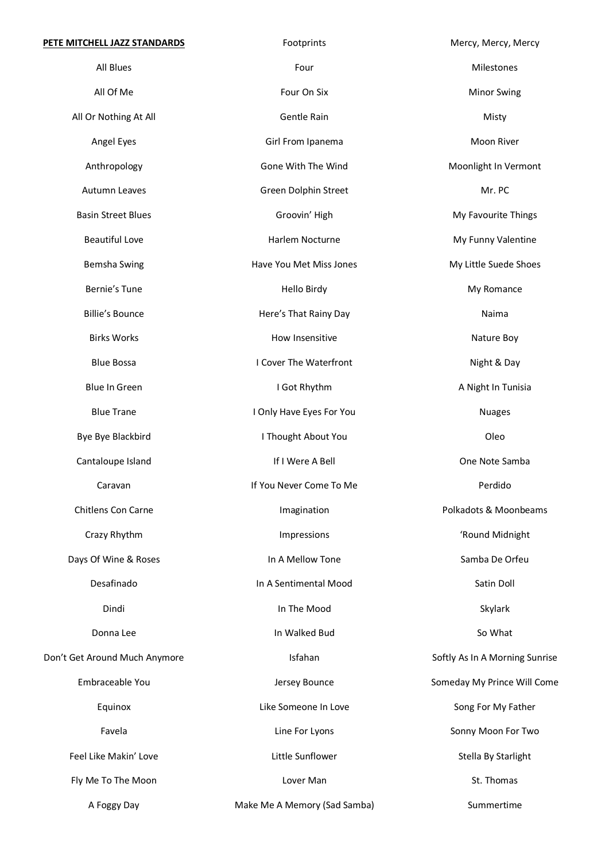| PETE MITCHELL JAZZ STANDARDS  | Footprints                   | Mercy, Mercy, Mercy            |
|-------------------------------|------------------------------|--------------------------------|
| All Blues                     | Four                         | Milestones                     |
| All Of Me                     | Four On Six                  | <b>Minor Swing</b>             |
| All Or Nothing At All         | Gentle Rain                  | Misty                          |
| Angel Eyes                    | Girl From Ipanema            | Moon River                     |
| Anthropology                  | Gone With The Wind           | Moonlight In Vermont           |
| Autumn Leaves                 | Green Dolphin Street         | Mr. PC                         |
| <b>Basin Street Blues</b>     | Groovin' High                | My Favourite Things            |
| <b>Beautiful Love</b>         | Harlem Nocturne              | My Funny Valentine             |
| <b>Bemsha Swing</b>           | Have You Met Miss Jones      | My Little Suede Shoes          |
| Bernie's Tune                 | Hello Birdy                  | My Romance                     |
| <b>Billie's Bounce</b>        | Here's That Rainy Day        | Naima                          |
| <b>Birks Works</b>            | How Insensitive              | Nature Boy                     |
| <b>Blue Bossa</b>             | I Cover The Waterfront       | Night & Day                    |
| <b>Blue In Green</b>          | I Got Rhythm                 | A Night In Tunisia             |
| <b>Blue Trane</b>             | I Only Have Eyes For You     | <b>Nuages</b>                  |
| Bye Bye Blackbird             | I Thought About You          | Oleo                           |
| Cantaloupe Island             | If I Were A Bell             | One Note Samba                 |
| Caravan                       | If You Never Come To Me      | Perdido                        |
| Chitlens Con Carne            | Imagination                  | Polkadots & Moonbeams          |
| Crazy Rhythm                  | Impressions                  | 'Round Midnight                |
| Days Of Wine & Roses          | In A Mellow Tone             | Samba De Orfeu                 |
| Desafinado                    | In A Sentimental Mood        | Satin Doll                     |
| Dindi                         | In The Mood                  | Skylark                        |
| Donna Lee                     | In Walked Bud                | So What                        |
| Don't Get Around Much Anymore | Isfahan                      | Softly As In A Morning Sunrise |
| Embraceable You               | Jersey Bounce                | Someday My Prince Will Come    |
| Equinox                       | Like Someone In Love         | Song For My Father             |
| Favela                        | Line For Lyons               | Sonny Moon For Two             |
| Feel Like Makin' Love         | Little Sunflower             | Stella By Starlight            |
| Fly Me To The Moon            | Lover Man                    | St. Thomas                     |
| A Foggy Day                   | Make Me A Memory (Sad Samba) | Summertime                     |